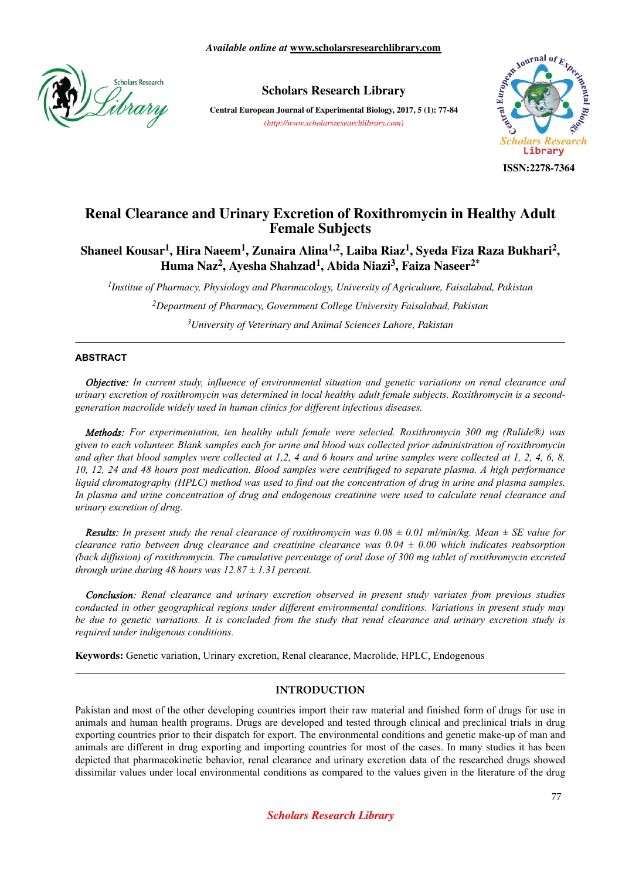

## **Scholars Research Library**

**Central European Journal of Experimental Biology, 2017, 5 (1): 77-84** *(http://www.scholarsresearchlibrary.com)*



**ISSN:2278-7364**

# **Renal Clearance and Urinary Excretion of Roxithromycin in Healthy Adult Female Subjects**

**Shaneel Kousar<sup>1</sup> , Hira Naeem<sup>1</sup> , Zunaira Alina1,2, Laiba Riaz<sup>1</sup> , Syeda Fiza Raza Bukhari<sup>2</sup> , Huma Naz<sup>2</sup> , Ayesha Shahzad<sup>1</sup> , Abida Niazi<sup>3</sup> , Faiza Naseer2\***

*1 Institue of Pharmacy, Physiology and Pharmacology, University of Agriculture, Faisalabad, Pakistan*

*<sup>2</sup>Department of Pharmacy, Government College University Faisalabad, Pakistan*

*<sup>3</sup>University of Veterinary and Animal Sciences Lahore, Pakistan*

### **ABSTRACT**

*Objective: In current study, influence of environmental situation and genetic variations on renal clearance and urinary excretion of roxithromycin was determined in local healthy adult female subjects. Roxithromycin is a secondgeneration macrolide widely used in human clinics for different infectious diseases.*

*Methods: For experimentation, ten healthy adult female were selected. Roxithromycin 300 mg (Rulide®) was given to each volunteer. Blank samples each for urine and blood was collected prior administration of roxithromycin and after that blood samples were collected at 1,2, 4 and 6 hours and urine samples were collected at 1, 2, 4, 6, 8, 10, 12, 24 and 48 hours post medication. Blood samples were centrifuged to separate plasma. A high performance liquid chromatography (HPLC) method was used to find out the concentration of drug in urine and plasma samples. In plasma and urine concentration of drug and endogenous creatinine were used to calculate renal clearance and urinary excretion of drug.*

*Results: In present study the renal clearance of roxithromycin was 0.08 ± 0.01 ml/min/kg. Mean ± SE value for clearance ratio between drug clearance and creatinine clearance was 0.04 ± 0.00 which indicates reabsorption (back diffusion) of roxithromycin. The cumulative percentage of oral dose of 300 mg tablet of roxithromycin excreted through urine during 48 hours was 12.87 ± 1.31 percent.*

*Conclusion: Renal clearance and urinary excretion observed in present study variates from previous studies conducted in other geographical regions under different environmental conditions. Variations in present study may be due to genetic variations. It is concluded from the study that renal clearance and urinary excretion study is required under indigenous conditions.*

**Keywords:** Genetic variation, Urinary excretion, Renal clearance, Macrolide, HPLC, Endogenous

### **INTRODUCTION**

Pakistan and most of the other developing countries import their raw material and finished form of drugs for use in animals and human health programs. Drugs are developed and tested through clinical and preclinical trials in drug exporting countries prior to their dispatch for export. The environmental conditions and genetic make-up of man and animals are different in drug exporting and importing countries for most of the cases. In many studies it has been depicted that pharmacokinetic behavior, renal clearance and urinary excretion data of the researched drugs showed dissimilar values under local environmental conditions as compared to the values given in the literature of the drug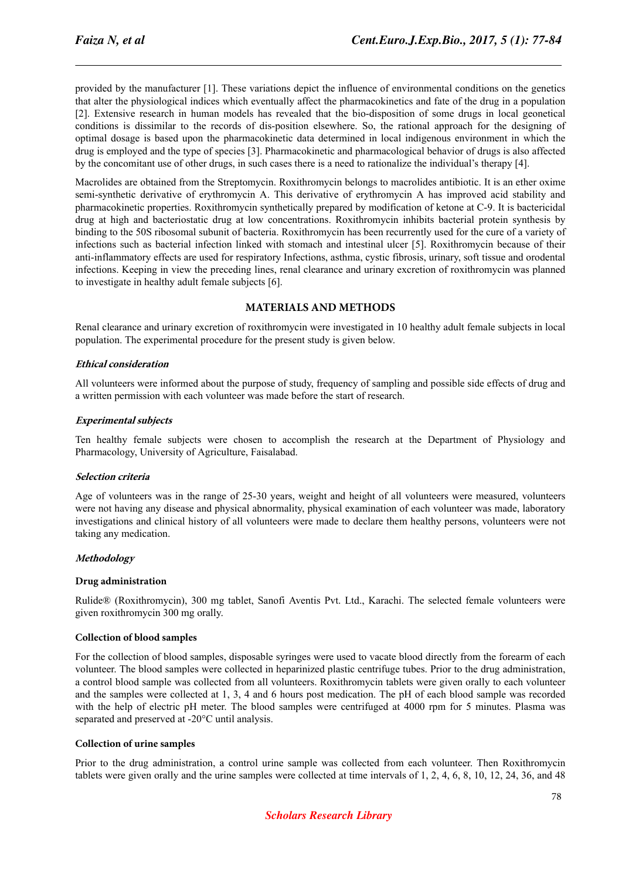provided by the manufacturer [1]. These variations depict the influence of environmental conditions on the genetics that alter the physiological indices which eventually affect the pharmacokinetics and fate of the drug in a population [2]. Extensive research in human models has revealed that the bio-disposition of some drugs in local geonetical conditions is dissimilar to the records of dis-position elsewhere. So, the rational approach for the designing of optimal dosage is based upon the pharmacokinetic data determined in local indigenous environment in which the drug is employed and the type of species [3]. Pharmacokinetic and pharmacological behavior of drugs is also affected by the concomitant use of other drugs, in such cases there is a need to rationalize the individual's therapy [4].

Macrolides are obtained from the Streptomycin. Roxithromycin belongs to macrolides antibiotic. It is an ether oxime semi-synthetic derivative of erythromycin A. This derivative of erythromycin A has improved acid stability and pharmacokinetic properties. Roxithromycin synthetically prepared by modification of ketone at C-9. It is bactericidal drug at high and bacteriostatic drug at low concentrations. Roxithromycin inhibits bacterial protein synthesis by binding to the 50S ribosomal subunit of bacteria. Roxithromycin has been recurrently used for the cure of a variety of infections such as bacterial infection linked with stomach and intestinal ulcer [5]. Roxithromycin because of their anti-inflammatory effects are used for respiratory Infections, asthma, cystic fibrosis, urinary, soft tissue and orodental infections. Keeping in view the preceding lines, renal clearance and urinary excretion of roxithromycin was planned to investigate in healthy adult female subjects [6].

### **MATERIALS AND METHODS**

Renal clearance and urinary excretion of roxithromycin were investigated in 10 healthy adult female subjects in local population. The experimental procedure for the present study is given below.

### **Ethical consideration**

All volunteers were informed about the purpose of study, frequency of sampling and possible side effects of drug and a written permission with each volunteer was made before the start of research.

### **Experimental subjects**

Ten healthy female subjects were chosen to accomplish the research at the Department of Physiology and Pharmacology, University of Agriculture, Faisalabad.

### **Selection criteria**

Age of volunteers was in the range of 25-30 years, weight and height of all volunteers were measured, volunteers were not having any disease and physical abnormality, physical examination of each volunteer was made, laboratory investigations and clinical history of all volunteers were made to declare them healthy persons, volunteers were not taking any medication.

### **Methodology**

### **Drug administration**

Rulide® (Roxithromycin), 300 mg tablet, Sanofi Aventis Pvt. Ltd., Karachi. The selected female volunteers were given roxithromycin 300 mg orally.

### **Collection of blood samples**

For the collection of blood samples, disposable syringes were used to vacate blood directly from the forearm of each volunteer. The blood samples were collected in heparinized plastic centrifuge tubes. Prior to the drug administration, a control blood sample was collected from all volunteers. Roxithromycin tablets were given orally to each volunteer and the samples were collected at 1, 3, 4 and 6 hours post medication. The pH of each blood sample was recorded with the help of electric pH meter. The blood samples were centrifuged at 4000 rpm for 5 minutes. Plasma was separated and preserved at -20°C until analysis.

### **Collection of urine samples**

Prior to the drug administration, a control urine sample was collected from each volunteer. Then Roxithromycin tablets were given orally and the urine samples were collected at time intervals of 1, 2, 4, 6, 8, 10, 12, 24, 36, and 48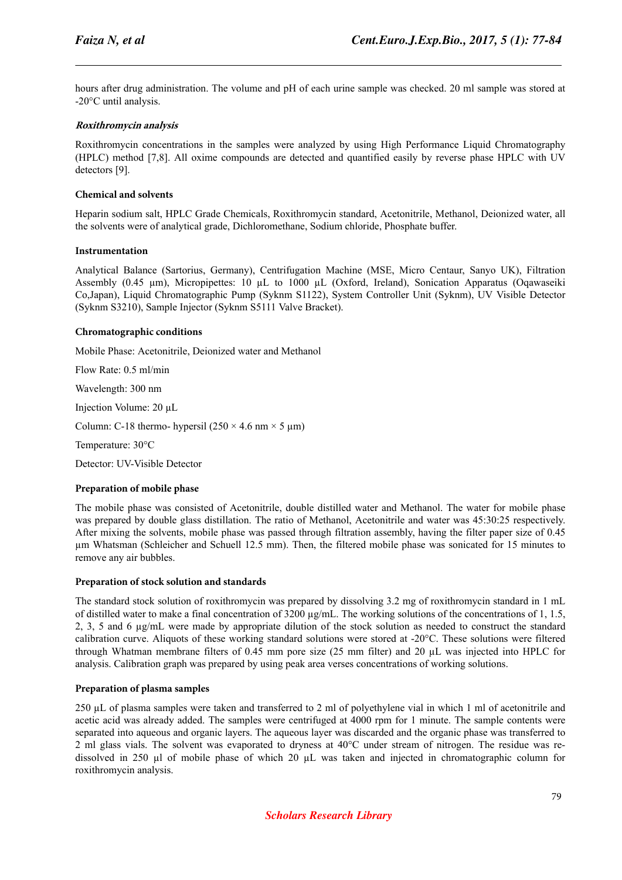hours after drug administration. The volume and pH of each urine sample was checked. 20 ml sample was stored at -20°C until analysis.

### **Roxithromycin analysis**

Roxithromycin concentrations in the samples were analyzed by using High Performance Liquid Chromatography (HPLC) method [7,8]. All oxime compounds are detected and quantified easily by reverse phase HPLC with UV detectors [9].

#### **Chemical and solvents**

Heparin sodium salt, HPLC Grade Chemicals, Roxithromycin standard, Acetonitrile, Methanol, Deionized water, all the solvents were of analytical grade, Dichloromethane, Sodium chloride, Phosphate buffer.

#### **Instrumentation**

Analytical Balance (Sartorius, Germany), Centrifugation Machine (MSE, Micro Centaur, Sanyo UK), Filtration Assembly (0.45 µm), Micropipettes: 10 µL to 1000 µL (Oxford, Ireland), Sonication Apparatus (Oqawaseiki Co,Japan), Liquid Chromatographic Pump (Syknm S1122), System Controller Unit (Syknm), UV Visible Detector (Syknm S3210), Sample Injector (Syknm S5111 Valve Bracket).

#### **Chromatographic conditions**

Mobile Phase: Acetonitrile, Deionized water and Methanol

Flow Rate: 0.5 ml/min

Wavelength: 300 nm

Injection Volume: 20 µL

Column: C-18 thermo- hypersil  $(250 \times 4.6 \text{ nm} \times 5 \text{ µm})$ 

Temperature: 30°C

Detector: UV-Visible Detector

#### **Preparation of mobile phase**

The mobile phase was consisted of Acetonitrile, double distilled water and Methanol. The water for mobile phase was prepared by double glass distillation. The ratio of Methanol, Acetonitrile and water was 45:30:25 respectively. After mixing the solvents, mobile phase was passed through filtration assembly, having the filter paper size of 0.45 µm Whatsman (Schleicher and Schuell 12.5 mm). Then, the filtered mobile phase was sonicated for 15 minutes to remove any air bubbles.

#### **Preparation of stock solution and standards**

The standard stock solution of roxithromycin was prepared by dissolving 3.2 mg of roxithromycin standard in 1 mL of distilled water to make a final concentration of 3200  $\mu$ g/mL. The working solutions of the concentrations of 1, 1.5, 2, 3, 5 and 6 µg/mL were made by appropriate dilution of the stock solution as needed to construct the standard calibration curve. Aliquots of these working standard solutions were stored at -20°C. These solutions were filtered through Whatman membrane filters of 0.45 mm pore size (25 mm filter) and 20 µL was injected into HPLC for analysis. Calibration graph was prepared by using peak area verses concentrations of working solutions.

#### **Preparation of plasma samples**

250 µL of plasma samples were taken and transferred to 2 ml of polyethylene vial in which 1 ml of acetonitrile and acetic acid was already added. The samples were centrifuged at 4000 rpm for 1 minute. The sample contents were separated into aqueous and organic layers. The aqueous layer was discarded and the organic phase was transferred to 2 ml glass vials. The solvent was evaporated to dryness at 40°C under stream of nitrogen. The residue was redissolved in 250 µl of mobile phase of which 20 µL was taken and injected in chromatographic column for roxithromycin analysis.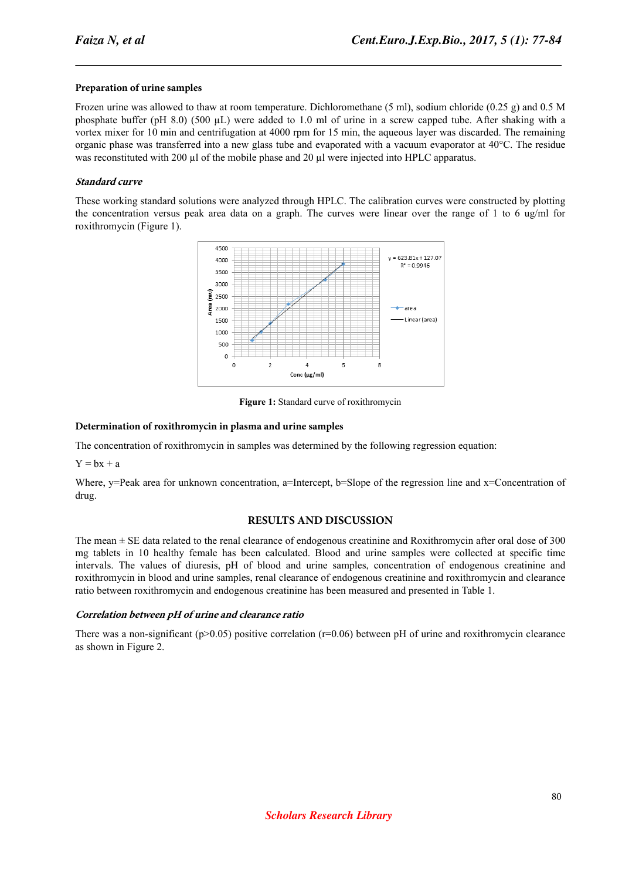### **Preparation of urine samples**

Frozen urine was allowed to thaw at room temperature. Dichloromethane (5 ml), sodium chloride (0.25 g) and 0.5 M phosphate buffer (pH 8.0) (500 µL) were added to 1.0 ml of urine in a screw capped tube. After shaking with a vortex mixer for 10 min and centrifugation at 4000 rpm for 15 min, the aqueous layer was discarded. The remaining organic phase was transferred into a new glass tube and evaporated with a vacuum evaporator at 40°C. The residue was reconstituted with 200  $\mu$ l of the mobile phase and 20  $\mu$ l were injected into HPLC apparatus.

### **Standard curve**

These working standard solutions were analyzed through HPLC. The calibration curves were constructed by plotting the concentration versus peak area data on a graph. The curves were linear over the range of 1 to 6 ug/ml for roxithromycin (Figure 1).



**Figure 1:** Standard curve of roxithromycin

### **Determination of roxithromycin in plasma and urine samples**

The concentration of roxithromycin in samples was determined by the following regression equation:

 $Y = bx + a$ 

Where, y=Peak area for unknown concentration, a=Intercept, b=Slope of the regression line and  $x=$ Concentration of drug.

### **RESULTS AND DISCUSSION**

The mean ± SE data related to the renal clearance of endogenous creatinine and Roxithromycin after oral dose of 300 mg tablets in 10 healthy female has been calculated. Blood and urine samples were collected at specific time intervals. The values of diuresis, pH of blood and urine samples, concentration of endogenous creatinine and roxithromycin in blood and urine samples, renal clearance of endogenous creatinine and roxithromycin and clearance ratio between roxithromycin and endogenous creatinine has been measured and presented in Table 1.

### **Correlation between pH of urine and clearance ratio**

There was a non-significant ( $p>0.05$ ) positive correlation ( $r=0.06$ ) between pH of urine and roxithromycin clearance as shown in Figure 2.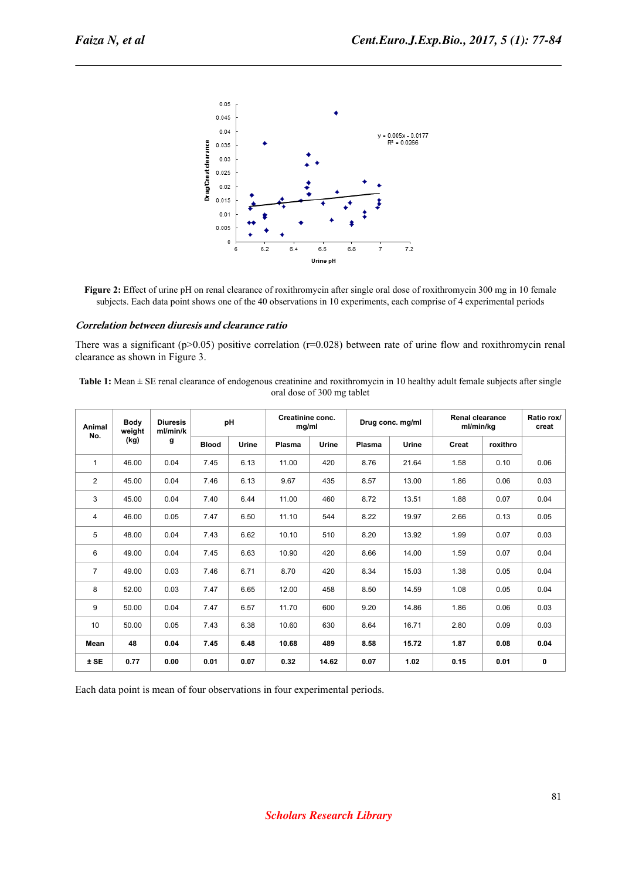

**Figure 2:** Effect of urine pH on renal clearance of roxithromycin after single oral dose of roxithromycin 300 mg in 10 female subjects. Each data point shows one of the 40 observations in 10 experiments, each comprise of 4 experimental periods

#### **Correlation between diuresis and clearance ratio**

There was a significant ( $p$ >0.05) positive correlation ( $r$ =0.028) between rate of urine flow and roxithromycin renal clearance as shown in Figure 3.

**Table 1:** Mean ± SE renal clearance of endogenous creatinine and roxithromycin in 10 healthy adult female subjects after single oral dose of 300 mg tablet

| Animal<br>No.  | <b>Body</b><br>weight<br>(kg) | <b>Diuresis</b><br>ml/min/k<br>g | pH           |       | Creatinine conc.<br>mg/ml |       | Drug conc. mg/ml |       | <b>Renal clearance</b><br>ml/min/kg |          | Ratio rox/<br>creat |
|----------------|-------------------------------|----------------------------------|--------------|-------|---------------------------|-------|------------------|-------|-------------------------------------|----------|---------------------|
|                |                               |                                  | <b>Blood</b> | Urine | Plasma                    | Urine | Plasma           | Urine | Creat                               | roxithro |                     |
| $\mathbf{1}$   | 46.00                         | 0.04                             | 7.45         | 6.13  | 11.00                     | 420   | 8.76             | 21.64 | 1.58                                | 0.10     | 0.06                |
| $\overline{2}$ | 45.00                         | 0.04                             | 7.46         | 6.13  | 9.67                      | 435   | 8.57             | 13.00 | 1.86                                | 0.06     | 0.03                |
| 3              | 45.00                         | 0.04                             | 7.40         | 6.44  | 11.00                     | 460   | 8.72             | 13.51 | 1.88                                | 0.07     | 0.04                |
| 4              | 46.00                         | 0.05                             | 7.47         | 6.50  | 11.10                     | 544   | 8.22             | 19.97 | 2.66                                | 0.13     | 0.05                |
| 5              | 48.00                         | 0.04                             | 7.43         | 6.62  | 10.10                     | 510   | 8.20             | 13.92 | 1.99                                | 0.07     | 0.03                |
| 6              | 49.00                         | 0.04                             | 7.45         | 6.63  | 10.90                     | 420   | 8.66             | 14.00 | 1.59                                | 0.07     | 0.04                |
| $\overline{7}$ | 49.00                         | 0.03                             | 7.46         | 6.71  | 8.70                      | 420   | 8.34             | 15.03 | 1.38                                | 0.05     | 0.04                |
| 8              | 52.00                         | 0.03                             | 7.47         | 6.65  | 12.00                     | 458   | 8.50             | 14.59 | 1.08                                | 0.05     | 0.04                |
| 9              | 50.00                         | 0.04                             | 7.47         | 6.57  | 11.70                     | 600   | 9.20             | 14.86 | 1.86                                | 0.06     | 0.03                |
| 10             | 50.00                         | 0.05                             | 7.43         | 6.38  | 10.60                     | 630   | 8.64             | 16.71 | 2.80                                | 0.09     | 0.03                |
| Mean           | 48                            | 0.04                             | 7.45         | 6.48  | 10.68                     | 489   | 8.58             | 15.72 | 1.87                                | 0.08     | 0.04                |
| $±$ SE         | 0.77                          | 0.00                             | 0.01         | 0.07  | 0.32                      | 14.62 | 0.07             | 1.02  | 0.15                                | 0.01     | $\mathbf 0$         |

Each data point is mean of four observations in four experimental periods.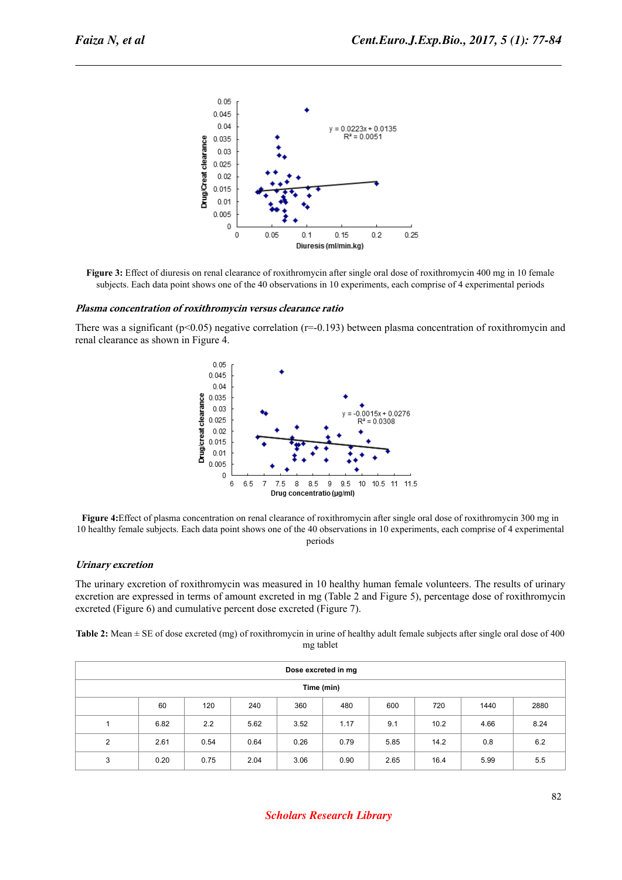

**Figure 3:** Effect of diuresis on renal clearance of roxithromycin after single oral dose of roxithromycin 400 mg in 10 female subjects. Each data point shows one of the 40 observations in 10 experiments, each comprise of 4 experimental periods

#### **Plasma concentration of roxithromycin versus clearance ratio**

There was a significant ( $p<0.05$ ) negative correlation ( $r=-0.193$ ) between plasma concentration of roxithromycin and renal clearance as shown in Figure 4.



**Figure 4:**Effect of plasma concentration on renal clearance of roxithromycin after single oral dose of roxithromycin 300 mg in 10 healthy female subjects. Each data point shows one of the 40 observations in 10 experiments, each comprise of 4 experimental periods

#### **Urinary excretion**

The urinary excretion of roxithromycin was measured in 10 healthy human female volunteers. The results of urinary excretion are expressed in terms of amount excreted in mg (Table 2 and Figure 5), percentage dose of roxithromycin excreted (Figure 6) and cumulative percent dose excreted (Figure 7).

**Table 2:** Mean ± SE of dose excreted (mg) of roxithromycin in urine of healthy adult female subjects after single oral dose of 400 mg tablet

| Dose excreted in mg |      |      |      |      |      |      |      |      |      |  |  |
|---------------------|------|------|------|------|------|------|------|------|------|--|--|
| Time (min)          |      |      |      |      |      |      |      |      |      |  |  |
|                     | 60   | 120  | 240  | 360  | 480  | 600  | 720  | 1440 | 2880 |  |  |
|                     | 6.82 | 2.2  | 5.62 | 3.52 | 1.17 | 9.1  | 10.2 | 4.66 | 8.24 |  |  |
| 2                   | 2.61 | 0.54 | 0.64 | 0.26 | 0.79 | 5.85 | 14.2 | 0.8  | 6.2  |  |  |
| 3                   | 0.20 | 0.75 | 2.04 | 3.06 | 0.90 | 2.65 | 16.4 | 5.99 | 5.5  |  |  |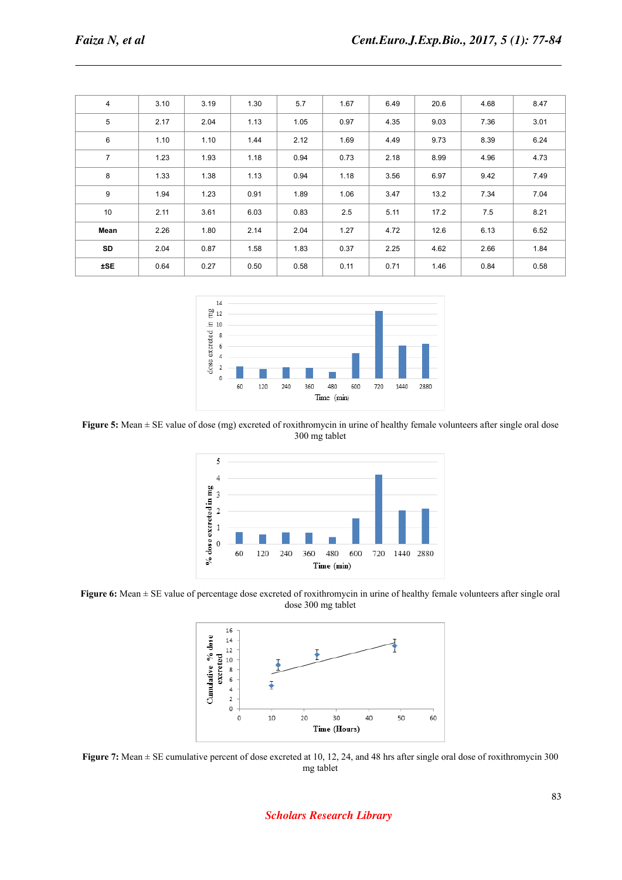| 4              | 3.10 | 3.19 | 1.30 | 5.7  | 1.67 | 6.49 | 20.6 | 4.68 | 8.47 |
|----------------|------|------|------|------|------|------|------|------|------|
| 5              | 2.17 | 2.04 | 1.13 | 1.05 | 0.97 | 4.35 | 9.03 | 7.36 | 3.01 |
| 6              | 1.10 | 1.10 | 1.44 | 2.12 | 1.69 | 4.49 | 9.73 | 8.39 | 6.24 |
| $\overline{7}$ | 1.23 | 1.93 | 1.18 | 0.94 | 0.73 | 2.18 | 8.99 | 4.96 | 4.73 |
| 8              | 1.33 | 1.38 | 1.13 | 0.94 | 1.18 | 3.56 | 6.97 | 9.42 | 7.49 |
| 9              | 1.94 | 1.23 | 0.91 | 1.89 | 1.06 | 3.47 | 13.2 | 7.34 | 7.04 |
| 10             | 2.11 | 3.61 | 6.03 | 0.83 | 2.5  | 5.11 | 17.2 | 7.5  | 8.21 |
| Mean           | 2.26 | 1.80 | 2.14 | 2.04 | 1.27 | 4.72 | 12.6 | 6.13 | 6.52 |
| SD             | 2.04 | 0.87 | 1.58 | 1.83 | 0.37 | 2.25 | 4.62 | 2.66 | 1.84 |
| ±SE            | 0.64 | 0.27 | 0.50 | 0.58 | 0.11 | 0.71 | 1.46 | 0.84 | 0.58 |
|                |      |      |      |      |      |      |      |      |      |



**Figure 5:** Mean  $\pm$  SE value of dose (mg) excreted of roxithromycin in urine of healthy female volunteers after single oral dose 300 mg tablet



**Figure 6:** Mean ± SE value of percentage dose excreted of roxithromycin in urine of healthy female volunteers after single oral dose 300 mg tablet



**Figure 7:** Mean  $\pm$  SE cumulative percent of dose excreted at 10, 12, 24, and 48 hrs after single oral dose of roxithromycin 300 mg tablet

*Scholars Research Library*